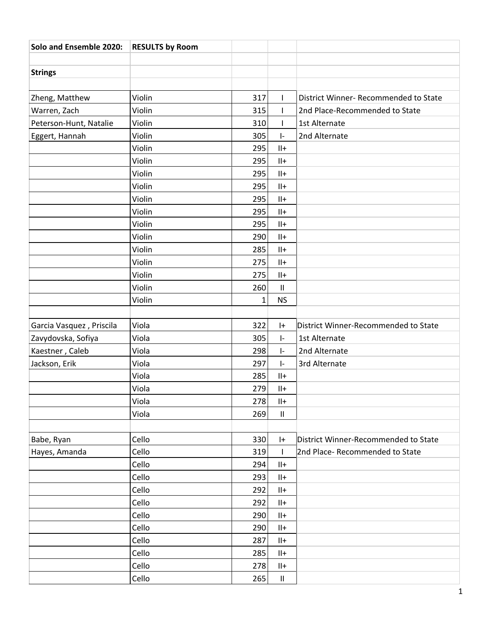| Solo and Ensemble 2020:  | <b>RESULTS by Room</b> |     |                            |                                       |
|--------------------------|------------------------|-----|----------------------------|---------------------------------------|
|                          |                        |     |                            |                                       |
| <b>Strings</b>           |                        |     |                            |                                       |
|                          |                        |     |                            |                                       |
| Zheng, Matthew           | Violin                 | 317 | $\mathbf{I}$               | District Winner- Recommended to State |
| Warren, Zach             | Violin                 | 315 | $\mathsf{I}$               | 2nd Place-Recommended to State        |
| Peterson-Hunt, Natalie   | Violin                 | 310 | L                          | 1st Alternate                         |
| Eggert, Hannah           | Violin                 | 305 | $\vert$ -                  | 2nd Alternate                         |
|                          | Violin                 | 295 | $   +$                     |                                       |
|                          | Violin                 | 295 | $  +$                      |                                       |
|                          | Violin                 | 295 | $  +$                      |                                       |
|                          | Violin                 | 295 | $  +$                      |                                       |
|                          | Violin                 | 295 | $  +$                      |                                       |
|                          | Violin                 | 295 | $  +$                      |                                       |
|                          | Violin                 | 295 | $  +$                      |                                       |
|                          | Violin                 | 290 | $  +$                      |                                       |
|                          | Violin                 | 285 | $  +$                      |                                       |
|                          | Violin                 | 275 | $  +$                      |                                       |
|                          | Violin                 | 275 | $  +$                      |                                       |
|                          | Violin                 | 260 | $\ensuremath{\mathsf{II}}$ |                                       |
|                          | Violin                 | 1   | <b>NS</b>                  |                                       |
|                          |                        |     |                            |                                       |
| Garcia Vasquez, Priscila | Viola                  | 322 | $ +$                       | District Winner-Recommended to State  |
| Zavydovska, Sofiya       | Viola                  | 305 | $\vert - \vert$            | 1st Alternate                         |
| Kaestner, Caleb          | Viola                  | 298 | $\vert - \vert$            | 2nd Alternate                         |
| Jackson, Erik            | Viola                  | 297 | $\vert$ -                  | 3rd Alternate                         |
|                          | Viola                  | 285 | $  +$                      |                                       |
|                          | Viola                  | 279 | $  +$                      |                                       |
|                          | Viola                  | 278 | $  +$                      |                                       |
|                          | Viola                  | 269 | $\ensuremath{\mathsf{II}}$ |                                       |
|                          |                        |     |                            |                                       |
| Babe, Ryan               | Cello                  | 330 | $ + $                      | District Winner-Recommended to State  |
| Hayes, Amanda            | Cello                  | 319 | $\mathbf{I}$               | 2nd Place- Recommended to State       |
|                          | Cello                  | 294 | $  +$                      |                                       |
|                          | Cello                  | 293 | $  +$                      |                                       |
|                          | Cello                  | 292 | $  +$                      |                                       |
|                          | Cello                  | 292 | $  +$                      |                                       |
|                          | Cello                  | 290 | $  +$                      |                                       |
|                          | Cello                  | 290 | $  +$                      |                                       |
|                          | Cello                  | 287 | $\mathsf{II}+$             |                                       |
|                          | Cello                  | 285 | $  +$                      |                                       |
|                          | Cello                  | 278 | $  +$                      |                                       |
|                          | Cello                  | 265 | $\ensuremath{\mathsf{II}}$ |                                       |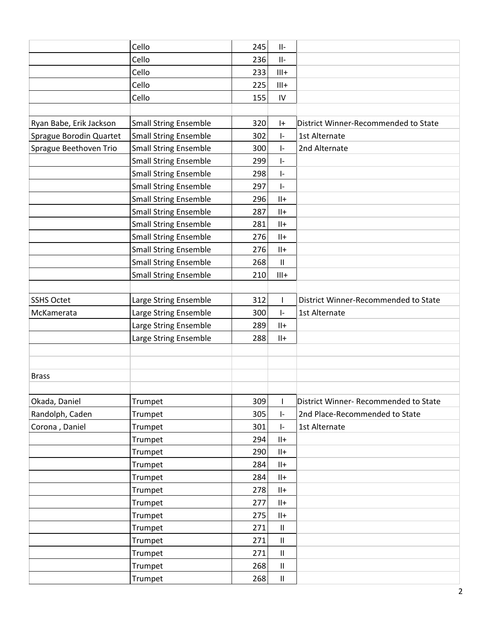|                         | Cello                        | 245 | $\vert\vert$ -                    |                                       |
|-------------------------|------------------------------|-----|-----------------------------------|---------------------------------------|
|                         | Cello                        | 236 | $   -$                            |                                       |
|                         | Cello                        | 233 | $III +$                           |                                       |
|                         | Cello                        | 225 | $III +$                           |                                       |
|                         | Cello                        | 155 | IV                                |                                       |
|                         |                              |     |                                   |                                       |
| Ryan Babe, Erik Jackson | <b>Small String Ensemble</b> | 320 | $ +$                              | District Winner-Recommended to State  |
| Sprague Borodin Quartet | <b>Small String Ensemble</b> | 302 | $\vert - \vert$                   | 1st Alternate                         |
| Sprague Beethoven Trio  | <b>Small String Ensemble</b> | 300 | $\vert - \vert$                   | 2nd Alternate                         |
|                         | <b>Small String Ensemble</b> | 299 | $\mathsf{I}\text{-}$              |                                       |
|                         | <b>Small String Ensemble</b> | 298 | $\left\vert -\right\rangle$       |                                       |
|                         | <b>Small String Ensemble</b> | 297 | $\vert - \vert$                   |                                       |
|                         | <b>Small String Ensemble</b> | 296 | $  +$                             |                                       |
|                         | <b>Small String Ensemble</b> | 287 | $  +$                             |                                       |
|                         | <b>Small String Ensemble</b> | 281 | $  +$                             |                                       |
|                         | <b>Small String Ensemble</b> | 276 | $  +$                             |                                       |
|                         | <b>Small String Ensemble</b> | 276 | $  +$                             |                                       |
|                         | <b>Small String Ensemble</b> | 268 | $\ensuremath{\mathsf{II}}$        |                                       |
|                         | <b>Small String Ensemble</b> | 210 | $III +$                           |                                       |
|                         |                              |     |                                   |                                       |
| <b>SSHS Octet</b>       | Large String Ensemble        | 312 | $\mathbf{I}$                      | District Winner-Recommended to State  |
| McKamerata              | Large String Ensemble        | 300 | $\left\vert -\right\rangle$       | 1st Alternate                         |
|                         | Large String Ensemble        | 289 | $  +$                             |                                       |
|                         | Large String Ensemble        | 288 | $  +$                             |                                       |
|                         |                              |     |                                   |                                       |
|                         |                              |     |                                   |                                       |
| <b>Brass</b>            |                              |     |                                   |                                       |
|                         |                              |     |                                   |                                       |
| Okada, Daniel           | Trumpet                      | 309 | $\mathbf{I}$                      | District Winner- Recommended to State |
| Randolph, Caden         | Trumpet                      | 305 | $\vert - \vert$                   | 2nd Place-Recommended to State        |
| Corona, Daniel          | Trumpet                      | 301 | $\vert - \vert$                   | 1st Alternate                         |
|                         | Trumpet                      | 294 | $  +$                             |                                       |
|                         | Trumpet                      | 290 | $  +$                             |                                       |
|                         | Trumpet                      | 284 | $  +$                             |                                       |
|                         | Trumpet                      | 284 | $  +$                             |                                       |
|                         | Trumpet                      | 278 | $  +$                             |                                       |
|                         | Trumpet                      | 277 | $  +$                             |                                       |
|                         | Trumpet                      | 275 | $  +$                             |                                       |
|                         | Trumpet                      | 271 | $\ensuremath{\mathsf{II}}$        |                                       |
|                         | Trumpet                      | 271 | $\ensuremath{\mathsf{II}}\xspace$ |                                       |
|                         | Trumpet                      | 271 | $\ensuremath{\mathsf{II}}$        |                                       |
|                         | Trumpet                      | 268 | $\ensuremath{\mathsf{II}}$        |                                       |
|                         | Trumpet                      | 268 | $\ensuremath{\mathsf{II}}$        |                                       |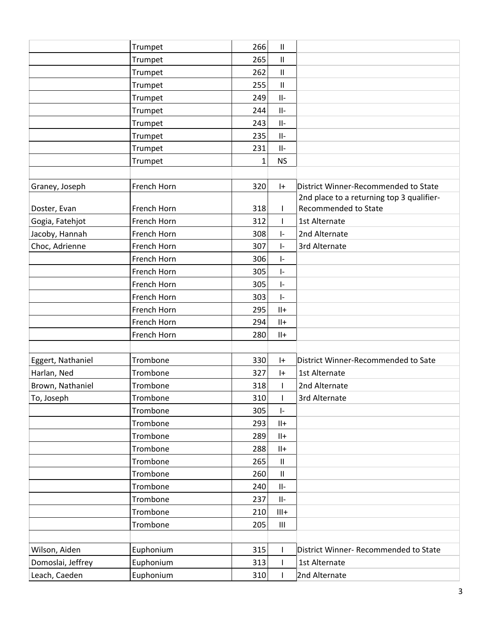|                   | Trumpet     | 266          | $\ensuremath{\mathsf{II}}$         |                                           |
|-------------------|-------------|--------------|------------------------------------|-------------------------------------------|
|                   | Trumpet     | 265          | $\mathbf{II}$                      |                                           |
|                   | Trumpet     | 262          | $\mathbf{II}$                      |                                           |
|                   | Trumpet     | 255          | $\mathbf{II}$                      |                                           |
|                   | Trumpet     | 249          | $   -$                             |                                           |
|                   | Trumpet     | 244          | $   -$                             |                                           |
|                   | Trumpet     | 243          | $   -$                             |                                           |
|                   | Trumpet     | 235          | $\vert\vert$ -                     |                                           |
|                   | Trumpet     | 231          | $   -$                             |                                           |
|                   | Trumpet     | $\mathbf{1}$ | <b>NS</b>                          |                                           |
|                   |             |              |                                    |                                           |
| Graney, Joseph    | French Horn | 320          | $ +$                               | District Winner-Recommended to State      |
|                   |             |              |                                    | 2nd place to a returning top 3 qualifier- |
| Doster, Evan      | French Horn | 318          |                                    | <b>Recommended to State</b>               |
| Gogia, Fatehjot   | French Horn | 312          |                                    | 1st Alternate                             |
| Jacoby, Hannah    | French Horn | 308          | $\mathsf{I}$                       | 2nd Alternate                             |
| Choc, Adrienne    | French Horn | 307          | $\mathsf{I}$                       | 3rd Alternate                             |
|                   | French Horn | 306          | $\mathsf{I}$                       |                                           |
|                   | French Horn | 305          | $\vert$ -                          |                                           |
|                   | French Horn | 305          | I-                                 |                                           |
|                   | French Horn | 303          | $\vert$ -                          |                                           |
|                   | French Horn | 295          | $   +$                             |                                           |
|                   | French Horn | 294          | $  +$                              |                                           |
|                   | French Horn | 280          | $   +$                             |                                           |
|                   |             |              |                                    |                                           |
| Eggert, Nathaniel | Trombone    | 330          | $ +$                               | District Winner-Recommended to Sate       |
| Harlan, Ned       | Trombone    | 327          | $ +$                               | 1st Alternate                             |
| Brown, Nathaniel  | Trombone    | 318          |                                    | 2nd Alternate                             |
| To, Joseph        | Trombone    | 310          | $\mathbf{L}$                       | 3rd Alternate                             |
|                   | Trombone    | 305          | $\vert$ -                          |                                           |
|                   | Trombone    | 293          | $  +$                              |                                           |
|                   | Trombone    | 289          | $  +$                              |                                           |
|                   | Trombone    | 288          | $   +$                             |                                           |
|                   | Trombone    | 265          | $\vert\vert$                       |                                           |
|                   | Trombone    | 260          | $\vert\vert$                       |                                           |
|                   | Trombone    | 240          | $\vert\vert$ -                     |                                           |
|                   | Trombone    | 237          | $\vert\vert$ -                     |                                           |
|                   | Trombone    | 210          | $III+$                             |                                           |
|                   | Trombone    | 205          | $\ensuremath{\mathsf{III}}\xspace$ |                                           |
|                   |             |              |                                    |                                           |
| Wilson, Aiden     | Euphonium   | 315          |                                    | District Winner- Recommended to State     |
| Domoslai, Jeffrey | Euphonium   | 313          |                                    | 1st Alternate                             |
| Leach, Caeden     | Euphonium   | 310          |                                    | 2nd Alternate                             |
|                   |             |              |                                    |                                           |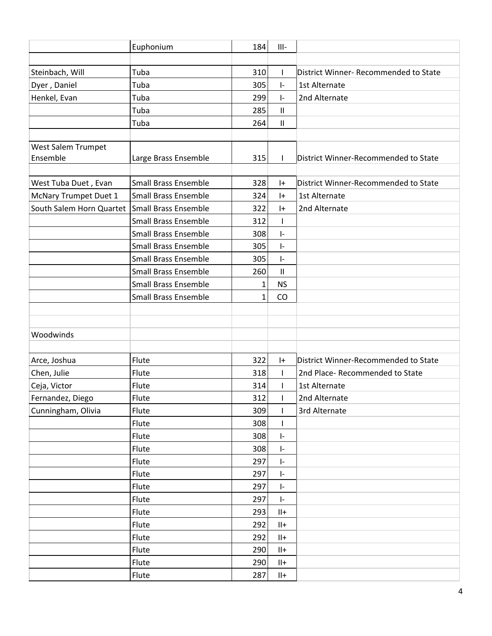|                          | Euphonium                   | 184          | $III -$                     |                                       |
|--------------------------|-----------------------------|--------------|-----------------------------|---------------------------------------|
|                          |                             |              |                             |                                       |
| Steinbach, Will          | Tuba                        | 310          | L                           | District Winner- Recommended to State |
| Dyer, Daniel             | Tuba                        | 305          | $\vert$ -                   | 1st Alternate                         |
| Henkel, Evan             | Tuba                        | 299          | $\vert$ -                   | 2nd Alternate                         |
|                          | Tuba                        | 285          | Ш                           |                                       |
|                          | Tuba                        | 264          | $\ensuremath{\mathsf{II}}$  |                                       |
|                          |                             |              |                             |                                       |
| West Salem Trumpet       |                             |              |                             |                                       |
| Ensemble                 | Large Brass Ensemble        | 315          | $\mathsf{I}$                | District Winner-Recommended to State  |
|                          |                             |              |                             |                                       |
| West Tuba Duet, Evan     | <b>Small Brass Ensemble</b> | 328          | $ + $                       | District Winner-Recommended to State  |
| McNary Trumpet Duet 1    | <b>Small Brass Ensemble</b> | 324          | $ +$                        | 1st Alternate                         |
| South Salem Horn Quartet | <b>Small Brass Ensemble</b> | 322          | $ + $                       | 2nd Alternate                         |
|                          | <b>Small Brass Ensemble</b> | 312          |                             |                                       |
|                          | <b>Small Brass Ensemble</b> | 308          | $\vert$ -                   |                                       |
|                          | <b>Small Brass Ensemble</b> | 305          | ŀ.                          |                                       |
|                          | <b>Small Brass Ensemble</b> | 305          | $\vert$ -                   |                                       |
|                          | <b>Small Brass Ensemble</b> | 260          | $\ensuremath{\mathsf{II}}$  |                                       |
|                          | <b>Small Brass Ensemble</b> | 1            | <b>NS</b>                   |                                       |
|                          | <b>Small Brass Ensemble</b> | $\mathbf{1}$ | CO                          |                                       |
|                          |                             |              |                             |                                       |
|                          |                             |              |                             |                                       |
| Woodwinds                |                             |              |                             |                                       |
|                          |                             |              |                             |                                       |
| Arce, Joshua             | Flute                       | 322          | $ +$                        | District Winner-Recommended to State  |
| Chen, Julie              | Flute                       | 318          |                             | 2nd Place- Recommended to State       |
| Ceja, Victor             | Flute                       | 314          |                             | 1st Alternate                         |
| Fernandez, Diego         | Flute                       | 312          | $\mathbf{L}$                | 2nd Alternate                         |
| Cunningham, Olivia       | Flute                       | 309          | L                           | 3rd Alternate                         |
|                          | Flute                       | 308          | I                           |                                       |
|                          | Flute                       | 308          | $\vert$ -                   |                                       |
|                          | Flute                       | 308          | ŀ.                          |                                       |
|                          | Flute                       | 297          | $\left\vert -\right\rangle$ |                                       |
|                          | Flute                       | 297          | $\vert$ -                   |                                       |
|                          | Flute                       | 297          | ŀ.                          |                                       |
|                          | Flute                       | 297          | $\vert$ -                   |                                       |
|                          | Flute                       | 293          | $  +$                       |                                       |
|                          | Flute                       | 292          | $\mathsf{II}+$              |                                       |
|                          | Flute                       | 292          | $  +$                       |                                       |
|                          | Flute                       | 290          | $  +$                       |                                       |
|                          | Flute                       | 290          | $  +$                       |                                       |
|                          | Flute                       | 287          | $\mathsf{II}+$              |                                       |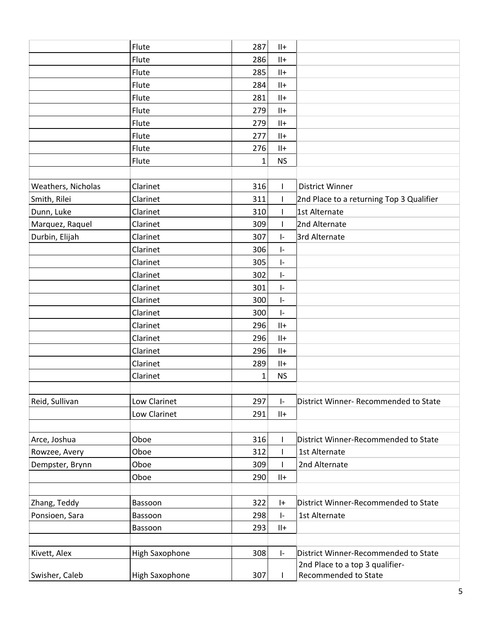|                    | Flute                 | 287          | $  +$                       |                                          |
|--------------------|-----------------------|--------------|-----------------------------|------------------------------------------|
|                    | Flute                 | 286          | $   +$                      |                                          |
|                    | Flute                 | 285          | $  +$                       |                                          |
|                    | Flute                 | 284          | $   +$                      |                                          |
|                    | Flute                 | 281          | $  +$                       |                                          |
|                    | Flute                 | 279          | $  +$                       |                                          |
|                    | Flute                 | 279          | $  +$                       |                                          |
|                    | Flute                 | 277          | $   +$                      |                                          |
|                    | Flute                 | 276          | $   +$                      |                                          |
|                    | Flute                 | $\mathbf{1}$ | <b>NS</b>                   |                                          |
|                    |                       |              |                             |                                          |
| Weathers, Nicholas | Clarinet              | 316          | $\mathbf{I}$                | <b>District Winner</b>                   |
| Smith, Rilei       | Clarinet              | 311          | $\mathsf{L}$                | 2nd Place to a returning Top 3 Qualifier |
| Dunn, Luke         | Clarinet              | 310          | L                           | 1st Alternate                            |
| Marquez, Raquel    | Clarinet              | 309          | $\mathbf{I}$                | 2nd Alternate                            |
| Durbin, Elijah     | Clarinet              | 307          | $\vert$ -                   | 3rd Alternate                            |
|                    | Clarinet              | 306          | $\vert$ -                   |                                          |
|                    | Clarinet              | 305          | $\vert$ -                   |                                          |
|                    | Clarinet              | 302          | $\vert$ -                   |                                          |
|                    | Clarinet              | 301          | $\vert - \vert$             |                                          |
|                    | Clarinet              | 300          | $\vert$ -                   |                                          |
|                    | Clarinet              | 300          | $\left\vert -\right\rangle$ |                                          |
|                    | Clarinet              | 296          | $  +$                       |                                          |
|                    | Clarinet              | 296          | $  +$                       |                                          |
|                    | Clarinet              | 296          | $   +$                      |                                          |
|                    | Clarinet              | 289          | $  +$                       |                                          |
|                    | Clarinet              | $\mathbf{1}$ | <b>NS</b>                   |                                          |
|                    |                       |              |                             |                                          |
| Reid, Sullivan     | Low Clarinet          | 297          | ŀ.                          | District Winner- Recommended to State    |
|                    | Low Clarinet          | 291          | $  +$                       |                                          |
|                    |                       |              |                             |                                          |
| Arce, Joshua       | Oboe                  | 316          | L                           | District Winner-Recommended to State     |
| Rowzee, Avery      | Oboe                  | 312          | L                           | 1st Alternate                            |
| Dempster, Brynn    | Oboe                  | 309          |                             | 2nd Alternate                            |
|                    | Oboe                  | 290          | $  +$                       |                                          |
|                    |                       |              |                             |                                          |
| Zhang, Teddy       | Bassoon               | 322          | $ +$                        | District Winner-Recommended to State     |
| Ponsioen, Sara     | Bassoon               | 298          | $\vert$ -                   | 1st Alternate                            |
|                    | Bassoon               | 293          | $  +$                       |                                          |
|                    |                       |              |                             |                                          |
| Kivett, Alex       | <b>High Saxophone</b> | 308          | ŀ.                          | District Winner-Recommended to State     |
|                    |                       |              |                             | 2nd Place to a top 3 qualifier-          |
| Swisher, Caleb     | High Saxophone        | 307          |                             | Recommended to State                     |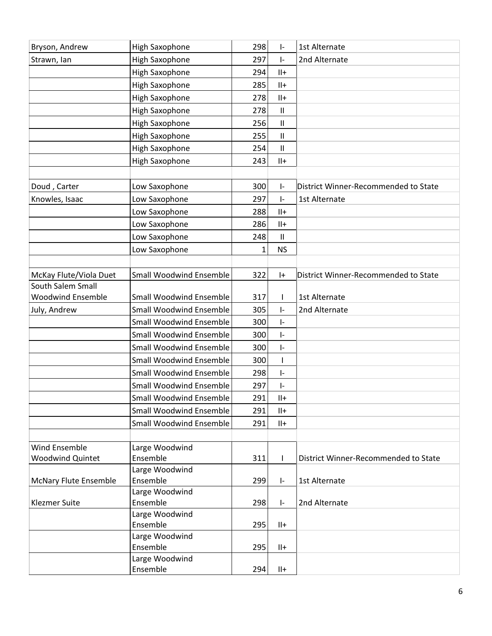| Bryson, Andrew                                | <b>High Saxophone</b>          | 298          | $\mathsf{I}$               | 1st Alternate                        |
|-----------------------------------------------|--------------------------------|--------------|----------------------------|--------------------------------------|
| Strawn, Ian                                   | <b>High Saxophone</b>          | 297          | $\mathsf{I}$               | 2nd Alternate                        |
|                                               | <b>High Saxophone</b>          | 294          | $  +$                      |                                      |
|                                               | <b>High Saxophone</b>          | 285          | $   +$                     |                                      |
|                                               | <b>High Saxophone</b>          | 278          | $   +$                     |                                      |
|                                               | <b>High Saxophone</b>          | 278          | $\ensuremath{\mathsf{II}}$ |                                      |
|                                               | <b>High Saxophone</b>          | 256          | $\ensuremath{\mathsf{II}}$ |                                      |
|                                               | <b>High Saxophone</b>          | 255          | $\ensuremath{\mathsf{II}}$ |                                      |
|                                               | <b>High Saxophone</b>          | 254          | Ш                          |                                      |
|                                               | High Saxophone                 | 243          | $   +$                     |                                      |
|                                               |                                |              |                            |                                      |
| Doud, Carter                                  | Low Saxophone                  | 300          | $\mathsf{I}$               | District Winner-Recommended to State |
| Knowles, Isaac                                | Low Saxophone                  | 297          | I-                         | 1st Alternate                        |
|                                               | Low Saxophone                  | 288          | $   +$                     |                                      |
|                                               | Low Saxophone                  | 286          | $  +$                      |                                      |
|                                               | Low Saxophone                  | 248          | $\mathsf{II}$              |                                      |
|                                               |                                |              | <b>NS</b>                  |                                      |
|                                               | Low Saxophone                  | $\mathbf{1}$ |                            |                                      |
|                                               |                                |              |                            |                                      |
| McKay Flute/Viola Duet                        | <b>Small Woodwind Ensemble</b> | 322          | $ +$                       | District Winner-Recommended to State |
| South Salem Small<br><b>Woodwind Ensemble</b> | <b>Small Woodwind Ensemble</b> | 317          |                            | 1st Alternate                        |
|                                               | <b>Small Woodwind Ensemble</b> | 305          |                            | 2nd Alternate                        |
| July, Andrew                                  |                                |              | ŀ.                         |                                      |
|                                               | <b>Small Woodwind Ensemble</b> | 300          | $\mathsf{I}$               |                                      |
|                                               | <b>Small Woodwind Ensemble</b> | 300          | ŀ.                         |                                      |
|                                               | <b>Small Woodwind Ensemble</b> | 300          | ŀ.                         |                                      |
|                                               | <b>Small Woodwind Ensemble</b> | 300          |                            |                                      |
|                                               | <b>Small Woodwind Ensemble</b> | 298          | ŀ.                         |                                      |
|                                               | <b>Small Woodwind Ensemble</b> | 297          | ŀ.                         |                                      |
|                                               | <b>Small Woodwind Ensemble</b> | 291          | $   +$                     |                                      |
|                                               | Small Woodwind Ensemble        | 291          | $  +$                      |                                      |
|                                               | <b>Small Woodwind Ensemble</b> | 291          | $   +$                     |                                      |
|                                               |                                |              |                            |                                      |
| Wind Ensemble                                 | Large Woodwind                 |              |                            |                                      |
| Woodwind Quintet                              | Ensemble                       | 311          |                            | District Winner-Recommended to State |
|                                               | Large Woodwind                 |              |                            |                                      |
| <b>McNary Flute Ensemble</b>                  | Ensemble                       | 299          | $\vert - \vert$            | 1st Alternate                        |
|                                               | Large Woodwind                 |              |                            |                                      |
| <b>Klezmer Suite</b>                          | Ensemble                       | 298          | ŀ.                         | 2nd Alternate                        |
|                                               | Large Woodwind<br>Ensemble     | 295          | $  +$                      |                                      |
|                                               | Large Woodwind                 |              |                            |                                      |
|                                               | Ensemble                       | 295          | $  +$                      |                                      |
|                                               | Large Woodwind                 |              |                            |                                      |
|                                               | Ensemble                       | 294          | $  +$                      |                                      |
|                                               |                                |              |                            |                                      |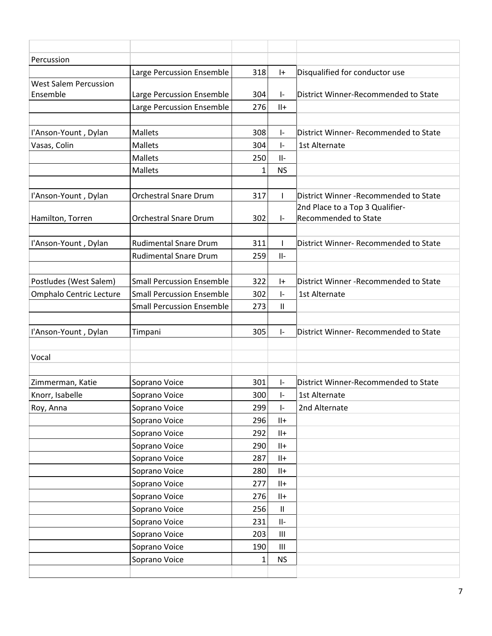| Percussion                   |                                  |     |                            |                                        |
|------------------------------|----------------------------------|-----|----------------------------|----------------------------------------|
|                              | Large Percussion Ensemble        | 318 | $ +$                       | Disqualified for conductor use         |
| <b>West Salem Percussion</b> |                                  |     |                            |                                        |
| Ensemble                     | Large Percussion Ensemble        | 304 | $\vert - \vert$            | District Winner-Recommended to State   |
|                              | Large Percussion Ensemble        | 276 | $   +$                     |                                        |
|                              |                                  |     |                            |                                        |
| l'Anson-Yount, Dylan         | <b>Mallets</b>                   | 308 | $\vert$ -                  | District Winner- Recommended to State  |
| Vasas, Colin                 | <b>Mallets</b>                   | 304 | $\mathsf{I}$               | 1st Alternate                          |
|                              | <b>Mallets</b>                   | 250 | $   -$                     |                                        |
|                              | <b>Mallets</b>                   | 1   | <b>NS</b>                  |                                        |
|                              |                                  |     |                            |                                        |
| l'Anson-Yount, Dylan         | <b>Orchestral Snare Drum</b>     | 317 | T                          | District Winner - Recommended to State |
|                              |                                  |     |                            | 2nd Place to a Top 3 Qualifier-        |
| Hamilton, Torren             | <b>Orchestral Snare Drum</b>     | 302 | $\vert$ -                  | Recommended to State                   |
|                              |                                  |     |                            |                                        |
| l'Anson-Yount, Dylan         | <b>Rudimental Snare Drum</b>     | 311 | $\mathbf{I}$               | District Winner- Recommended to State  |
|                              | <b>Rudimental Snare Drum</b>     | 259 | $   -$                     |                                        |
| Postludes (West Salem)       | <b>Small Percussion Ensemble</b> | 322 | $ + $                      | District Winner - Recommended to State |
| Omphalo Centric Lecture      | <b>Small Percussion Ensemble</b> | 302 | $\vert - \vert$            | 1st Alternate                          |
|                              | <b>Small Percussion Ensemble</b> | 273 | $\ensuremath{\mathsf{II}}$ |                                        |
|                              |                                  |     |                            |                                        |
| l'Anson-Yount, Dylan         | Timpani                          | 305 | I-                         | District Winner- Recommended to State  |
|                              |                                  |     |                            |                                        |
| Vocal                        |                                  |     |                            |                                        |
|                              |                                  |     |                            |                                        |
| Zimmerman, Katie             | Soprano Voice                    | 301 | $\vert$ -                  | District Winner-Recommended to State   |
| Knorr, Isabelle              | Soprano Voice                    | 300 | $\vert$ -                  | 1st Alternate                          |
| Roy, Anna                    | Soprano Voice                    | 299 | $\vert - \vert$            | 2nd Alternate                          |
|                              | Soprano Voice                    | 296 | $  +$                      |                                        |
|                              | Soprano Voice                    | 292 | $  +$                      |                                        |
|                              | Soprano Voice                    | 290 | $  +$                      |                                        |
|                              | Soprano Voice                    | 287 | $\mathsf{II}+$             |                                        |
|                              | Soprano Voice                    | 280 | $  +$                      |                                        |
|                              | Soprano Voice                    | 277 | $  +$                      |                                        |
|                              | Soprano Voice                    | 276 | $  +$                      |                                        |
|                              | Soprano Voice                    | 256 | $\ensuremath{\mathsf{II}}$ |                                        |
|                              | Soprano Voice                    | 231 | $\mathsf{II}-$             |                                        |
|                              | Soprano Voice                    | 203 | Ш                          |                                        |
|                              | Soprano Voice                    | 190 | Ш                          |                                        |
|                              | Soprano Voice                    | 1   | <b>NS</b>                  |                                        |
|                              |                                  |     |                            |                                        |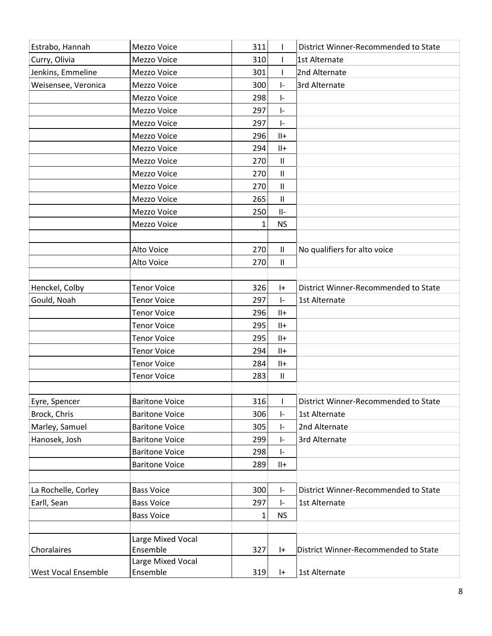| Estrabo, Hannah            | Mezzo Voice           | 311          | $\mathbf{I}$                | District Winner-Recommended to State |
|----------------------------|-----------------------|--------------|-----------------------------|--------------------------------------|
| Curry, Olivia              | Mezzo Voice           | 310          | I.                          | 1st Alternate                        |
| Jenkins, Emmeline          | Mezzo Voice           | 301          | T                           | 2nd Alternate                        |
| Weisensee, Veronica        | Mezzo Voice           | 300          | $\vert$ -                   | 3rd Alternate                        |
|                            | Mezzo Voice           | 298          | $\vert$ -                   |                                      |
|                            | Mezzo Voice           | 297          | $\vert$ -                   |                                      |
|                            | Mezzo Voice           | 297          | $\vert$ -                   |                                      |
|                            | Mezzo Voice           | 296          | $  +$                       |                                      |
|                            | Mezzo Voice           | 294          | $  +$                       |                                      |
|                            | Mezzo Voice           | 270          | $\mathbf{II}$               |                                      |
|                            | Mezzo Voice           | 270          | $\ensuremath{\mathsf{II}}$  |                                      |
|                            | Mezzo Voice           | 270          | $\ensuremath{\mathsf{II}}$  |                                      |
|                            | Mezzo Voice           | 265          | $\mathbf{II}$               |                                      |
|                            | Mezzo Voice           | 250          | $   -$                      |                                      |
|                            | Mezzo Voice           | $\mathbf{1}$ | <b>NS</b>                   |                                      |
|                            |                       |              |                             |                                      |
|                            | Alto Voice            | 270          | $\mathbf{II}$               | No qualifiers for alto voice         |
|                            | Alto Voice            | 270          | $\mathbf{II}$               |                                      |
|                            |                       |              |                             |                                      |
| Henckel, Colby             | <b>Tenor Voice</b>    | 326          | $ + $                       | District Winner-Recommended to State |
| Gould, Noah                | <b>Tenor Voice</b>    | 297          | $\vert$ -                   | 1st Alternate                        |
|                            | <b>Tenor Voice</b>    | 296          | $  +$                       |                                      |
|                            | <b>Tenor Voice</b>    | 295          | $  +$                       |                                      |
|                            | <b>Tenor Voice</b>    | 295          | $  +$                       |                                      |
|                            | <b>Tenor Voice</b>    | 294          | $  +$                       |                                      |
|                            | <b>Tenor Voice</b>    | 284          | $  +$                       |                                      |
|                            | <b>Tenor Voice</b>    | 283          | $\ensuremath{\mathsf{II}}$  |                                      |
|                            |                       |              |                             |                                      |
| Eyre, Spencer              | <b>Baritone Voice</b> | 316          |                             | District Winner-Recommended to State |
| Brock, Chris               | <b>Baritone Voice</b> | 306          | $\vert$ -                   | 1st Alternate                        |
| Marley, Samuel             | <b>Baritone Voice</b> | 305          | ŀ.                          | 2nd Alternate                        |
| Hanosek, Josh              | <b>Baritone Voice</b> | 299          | ŀ.                          | 3rd Alternate                        |
|                            | <b>Baritone Voice</b> | 298          | $\left\vert -\right\rangle$ |                                      |
|                            | <b>Baritone Voice</b> | 289          | $  +$                       |                                      |
|                            |                       |              |                             |                                      |
| La Rochelle, Corley        | <b>Bass Voice</b>     | 300          | $\vert - \vert$             | District Winner-Recommended to State |
| Earll, Sean                | <b>Bass Voice</b>     | 297          | $\vert$ -                   | 1st Alternate                        |
|                            | <b>Bass Voice</b>     | 1            | <b>NS</b>                   |                                      |
|                            |                       |              |                             |                                      |
|                            | Large Mixed Vocal     |              |                             |                                      |
| Choralaires                | Ensemble              | 327          | $ +$                        | District Winner-Recommended to State |
|                            | Large Mixed Vocal     |              |                             |                                      |
| <b>West Vocal Ensemble</b> | Ensemble              | 319          | $ + $                       | 1st Alternate                        |